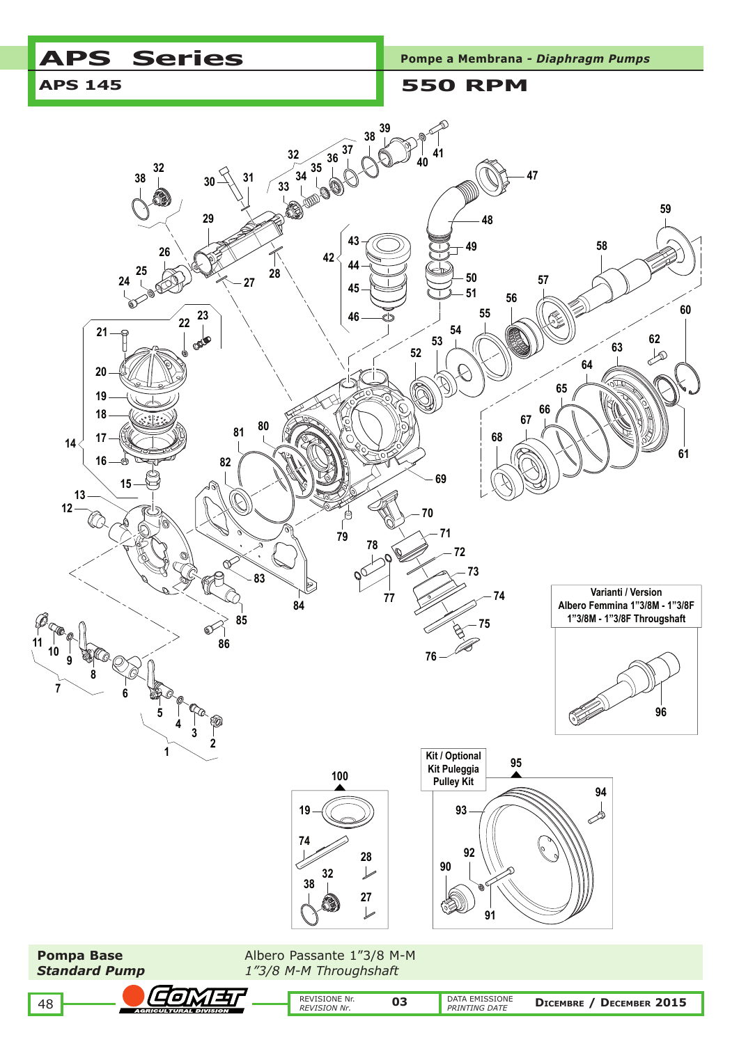# APS Series **Pompe a Membrana - Diaphragm Pumps**